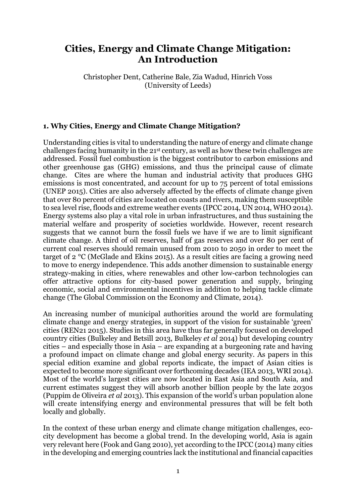# **Cities, Energy and Climate Change Mitigation: An Introduction**

Christopher Dent, Catherine Bale, Zia Wadud, Hinrich Voss (University of Leeds)

# **1. Why Cities, Energy and Climate Change Mitigation?**

Understanding cities is vital to understanding the nature of energy and climate change challenges facing humanity in the 21st century, as well as how these twin challenges are addressed. Fossil fuel combustion is the biggest contributor to carbon emissions and other greenhouse gas (GHG) emissions, and thus the principal cause of climate change. Cites are where the human and industrial activity that produces GHG emissions is most concentrated, and account for up to 75 percent of total emissions (UNEP 2015). Cities are also adversely affected by the effects of climate change given that over 80 percent of cities are located on coasts and rivers, making them susceptible to sea level rise, floods and extreme weather events (IPCC 2014, UN 2014, WHO 2014). Energy systems also play a vital role in urban infrastructures, and thus sustaining the material welfare and prosperity of societies worldwide. However, recent research suggests that we cannot burn the fossil fuels we have if we are to limit significant climate change. A third of oil reserves, half of gas reserves and over 80 per cent of current coal reserves should remain unused from 2010 to 2050 in order to meet the target of 2 °C (McGlade and Ekins 2015). As a result cities are facing a growing need to move to energy independence. This adds another dimension to sustainable energy strategy-making in cities, where renewables and other low-carbon technologies can offer attractive options for city-based power generation and supply, bringing economic, social and environmental incentives in addition to helping tackle climate change (The Global Commission on the Economy and Climate, 2014).

An increasing number of municipal authorities around the world are formulating climate change and energy strategies, in support of the vision for sustainable 'green' cities (REN21 2015). Studies in this area have thus far generally focused on developed country cities (Bulkeley and Betsill 2013, Bulkeley *et al* 2014) but developing country cities – and especially those in Asia – are expanding at a burgeoning rate and having a profound impact on climate change and global energy security. As papers in this special edition examine and global reports indicate, the impact of Asian cities is expected to become more significant over forthcoming decades (IEA 2013, WRI 2014). Most of the world's largest cities are now located in East Asia and South Asia, and current estimates suggest they will absorb another billion people by the late 2030s (Puppim de Oliveira *et al* 2013). This expansion of the world's urban population alone will create intensifying energy and environmental pressures that will be felt both locally and globally.

In the context of these urban energy and climate change mitigation challenges, ecocity development has become a global trend. In the developing world, Asia is again very relevant here (Fook and Gang 2010), yet according to the IPCC (2014) many cities in the developing and emerging countries lack the institutional and financial capacities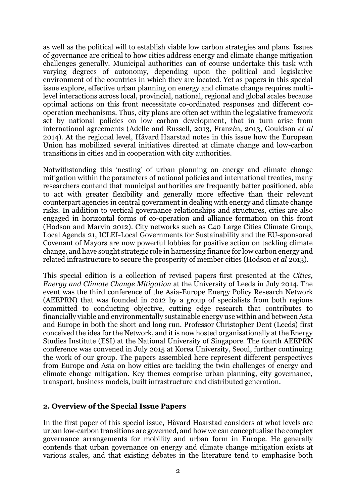as well as the political will to establish viable low carbon strategies and plans. Issues of governance are critical to how cities address energy and climate change mitigation challenges generally. Municipal authorities can of course undertake this task with varying degrees of autonomy, depending upon the political and legislative environment of the countries in which they are located. Yet as papers in this special issue explore, effective urban planning on energy and climate change requires multilevel interactions across local, provincial, national, regional and global scales because optimal actions on this front necessitate co-ordinated responses and different cooperation mechanisms. Thus, city plans are often set within the legislative framework set by national policies on low carbon development, that in turn arise from international agreements (Adelle and Russell, 2013, Franzén, 2013, Gouldson *et al* 2014). At the regional level, Håvard Haarstad notes in this issue how the European Union has mobilized several initiatives directed at climate change and low-carbon transitions in cities and in cooperation with city authorities.

Notwithstanding this 'nesting' of urban planning on energy and climate change mitigation within the parameters of national policies and international treaties, many researchers contend that municipal authorities are frequently better positioned, able to act with greater flexibility and generally more effective than their relevant counterpart agencies in central government in dealing with energy and climate change risks. In addition to vertical governance relationships and structures, cities are also engaged in horizontal forms of co-operation and alliance formation on this front (Hodson and Marvin 2012). City networks such as C40 Large Cities Climate Group, Local Agenda 21, ICLEI-Local Governments for Sustainability and the EU-sponsored Covenant of Mayors are now powerful lobbies for positive action on tackling climate change, and have sought strategic role in harnessing finance for low carbon energy and related infrastructure to secure the prosperity of member cities (Hodson *et al* 2013).

This special edition is a collection of revised papers first presented at the *Cities, Energy and Climate Change Mitigation* at the University of Leeds in July 2014. The event was the third conference of the Asia-Europe Energy Policy Research Network (AEEPRN) that was founded in 2012 by a group of specialists from both regions committed to conducting objective, cutting edge research that contributes to financially viable and environmentally sustainable energy use within and between Asia and Europe in both the short and long run. Professor Christopher Dent (Leeds) first conceived the idea for the Network, and it is now hosted organisationally at the Energy Studies Institute (ESI) at the National University of Singapore. The fourth AEEPRN conference was convened in July 2015 at Korea University, Seoul, further continuing the work of our group. The papers assembled here represent different perspectives from Europe and Asia on how cities are tackling the twin challenges of energy and climate change mitigation. Key themes comprise urban planning, city governance, transport, business models, built infrastructure and distributed generation.

#### **2. Overview of the Special Issue Papers**

In the first paper of this special issue, Håvard Haarstad considers at what levels are urban low-carbon transitions are governed, and how we can conceptualise the complex governance arrangements for mobility and urban form in Europe. He generally contends that urban governance on energy and climate change mitigation exists at various scales, and that existing debates in the literature tend to emphasise both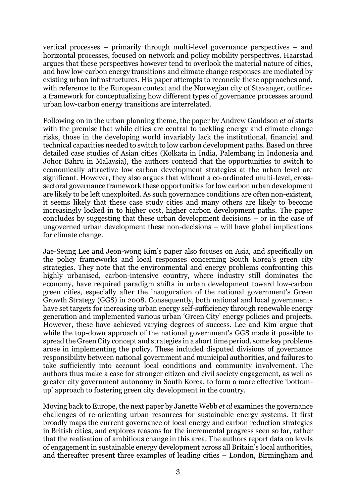vertical processes – primarily through multi-level governance perspectives – and horizontal processes, focused on network and policy mobility perspectives. Haarstad argues that these perspectives however tend to overlook the material nature of cities, and how low-carbon energy transitions and climate change responses are mediated by existing urban infrastructures. His paper attempts to reconcile these approaches and, with reference to the European context and the Norwegian city of Stavanger, outlines a framework for conceptualizing how different types of governance processes around urban low-carbon energy transitions are interrelated.

Following on in the urban planning theme, the paper by Andrew Gouldson *et al* starts with the premise that while cities are central to tackling energy and climate change risks, those in the developing world invariably lack the institutional, financial and technical capacities needed to switch to low carbon development paths. Based on three detailed case studies of Asian cities (Kolkata in India, Palembang in Indonesia and Johor Bahru in Malaysia), the authors contend that the opportunities to switch to economically attractive low carbon development strategies at the urban level are significant. However, they also argues that without a co-ordinated multi-level, crosssectoral governance framework these opportunities for low carbon urban development are likely to be left unexploited. As such governance conditions are often non-existent, it seems likely that these case study cities and many others are likely to become increasingly locked in to higher cost, higher carbon development paths. The paper concludes by suggesting that these urban development decisions – or in the case of ungoverned urban development these non-decisions – will have global implications for climate change.

Jae-Seung Lee and Jeon-wong Kim's paper also focuses on Asia, and specifically on the policy frameworks and local responses concerning South Korea's green city strategies. They note that the environmental and energy problems confronting this highly urbanised, carbon-intensive country, where industry still dominates the economy, have required paradigm shifts in urban development toward low-carbon green cities, especially after the inauguration of the national government's Green Growth Strategy (GGS) in 2008. Consequently, both national and local governments have set targets for increasing urban energy self-sufficiency through renewable energy generation and implemented various urban 'Green City' energy policies and projects. However, these have achieved varying degrees of success. Lee and Kim argue that while the top-down approach of the national government's GGS made it possible to spread the Green City concept and strategies in a short time period, some key problems arose in implementing the policy. These included disputed divisions of governance responsibility between national government and municipal authorities, and failures to take sufficiently into account local conditions and community involvement. The authors thus make a case for stronger citizen and civil society engagement, as well as greater city government autonomy in South Korea, to form a more effective 'bottomup' approach to fostering green city development in the country.

Moving back to Europe, the next paper by Janette Webb *et al* examines the governance challenges of re-orienting urban resources for sustainable energy systems. It first broadly maps the current governance of local energy and carbon reduction strategies in British cities, and explores reasons for the incremental progress seen so far, rather that the realisation of ambitious change in this area. The authors report data on levels of engagement in sustainable energy development across all Britain's local authorities, and thereafter present three examples of leading cities – London, Birmingham and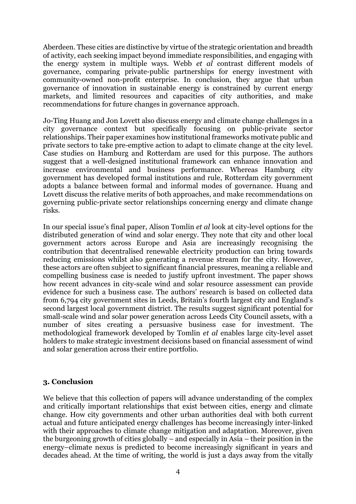Aberdeen. These cities are distinctive by virtue of the strategic orientation and breadth of activity, each seeking impact beyond immediate responsibilities, and engaging with the energy system in multiple ways. Webb *et al* contrast different models of governance, comparing private-public partnerships for energy investment with community-owned non-profit enterprise. In conclusion, they argue that urban governance of innovation in sustainable energy is constrained by current energy markets, and limited resources and capacities of city authorities, and make recommendations for future changes in governance approach.

Jo-Ting Huang and Jon Lovett also discuss energy and climate change challenges in a city governance context but specifically focusing on public-private sector relationships. Their paper examines how institutional frameworks motivate public and private sectors to take pre-emptive action to adapt to climate change at the city level. Case studies on Hamburg and Rotterdam are used for this purpose. The authors suggest that a well-designed institutional framework can enhance innovation and increase environmental and business performance. Whereas Hamburg city government has developed formal institutions and rule, Rotterdam city government adopts a balance between formal and informal modes of governance. Huang and Lovett discuss the relative merits of both approaches, and make recommendations on governing public-private sector relationships concerning energy and climate change risks.

In our special issue's final paper, Alison Tomlin *et al* look at city-level options for the distributed generation of wind and solar energy. They note that city and other local government actors across Europe and Asia are increasingly recognising the contribution that decentralised renewable electricity production can bring towards reducing emissions whilst also generating a revenue stream for the city. However, these actors are often subject to significant financial pressures, meaning a reliable and compelling business case is needed to justify upfront investment. The paper shows how recent advances in city-scale wind and solar resource assessment can provide evidence for such a business case. The authors' research is based on collected data from 6,794 city government sites in Leeds, Britain's fourth largest city and England's second largest local government district. The results suggest significant potential for small-scale wind and solar power generation across Leeds City Council assets, with a number of sites creating a persuasive business case for investment. The methodological framework developed by Tomlin *et al* enables large city-level asset holders to make strategic investment decisions based on financial assessment of wind and solar generation across their entire portfolio.

## **3. Conclusion**

We believe that this collection of papers will advance understanding of the complex and critically important relationships that exist between cities, energy and climate change. How city governments and other urban authorities deal with both current actual and future anticipated energy challenges has become increasingly inter-linked with their approaches to climate change mitigation and adaptation. Moreover, given the burgeoning growth of cities globally – and especially in Asia – their position in the energy–climate nexus is predicted to become increasingly significant in years and decades ahead. At the time of writing, the world is just a days away from the vitally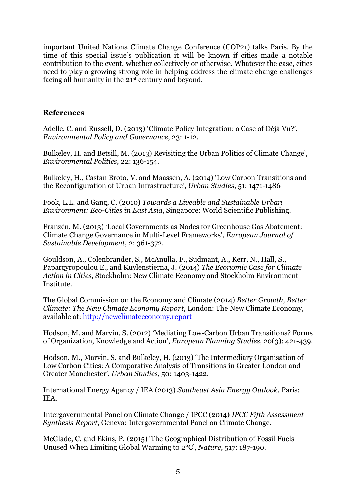important United Nations Climate Change Conference (COP21) talks Paris. By the time of this special issue's publication it will be known if cities made a notable contribution to the event, whether collectively or otherwise. Whatever the case, cities need to play a growing strong role in helping address the climate change challenges facing all humanity in the 21st century and beyond.

## **References**

Adelle, C. and Russell, D. (2013) 'Climate Policy Integration: a Case of Déjà Vu?', *Environmental Policy and Governance*, 23: 1-12.

Bulkeley, H. and Betsill, M. (2013) Revisiting the Urban Politics of Climate Change', *Environmental Politics*, 22: 136-154.

Bulkeley, H., Castan Broto, V. and Maassen, A. (2014) 'Low Carbon Transitions and the Reconfiguration of Urban Infrastructure', *Urban Studies*, 51: 1471-1486

Fook, L.L. and Gang, C. (2010) *Towards a Liveable and Sustainable Urban Environment: Eco-Cities in East Asia*, Singapore: World Scientific Publishing.

Franzén, M. (2013) 'Local Governments as Nodes for Greenhouse Gas Abatement: Climate Change Governance in Multi-Level Frameworks', *European Journal of Sustainable Development*, 2: 361-372.

Gouldson, A., Colenbrander, S., McAnulla, F., Sudmant, A., Kerr, N., Hall, S., Papargyropoulou E., and Kuylenstierna, J. (2014) *The Economic Case for Climate Action in Cities,* Stockholm: New Climate Economy and Stockholm Environment Institute.

The Global Commission on the Economy and Climate (2014) *Better Growth, Better Climate: The New Climate Economy Report*, London: The New Climate Economy, available at: [http://newclimateeconomy.report](http://newclimateeconomy.report/)

Hodson, M. and Marvin, S. (2012) 'Mediating Low-Carbon Urban Transitions? Forms of Organization, Knowledge and Action', *European Planning Studies,* 20(3): 421-439.

Hodson, M., Marvin, S. and Bulkeley, H. (2013) 'The Intermediary Organisation of Low Carbon Cities: A Comparative Analysis of Transitions in Greater London and Greater Manchester', *Urban Studies*, 50: 1403-1422.

International Energy Agency / IEA (2013) *Southeast Asia Energy Outlook*, Paris: IEA.

Intergovernmental Panel on Climate Change / IPCC (2014) *IPCC Fifth Assessment Synthesis Report*, Geneva: Intergovernmental Panel on Climate Change.

McGlade, C. and Ekins, P. (2015) 'The Geographical Distribution of Fossil Fuels Unused When Limiting Global Warming to 2°C', *Nature*, 517: 187-190.